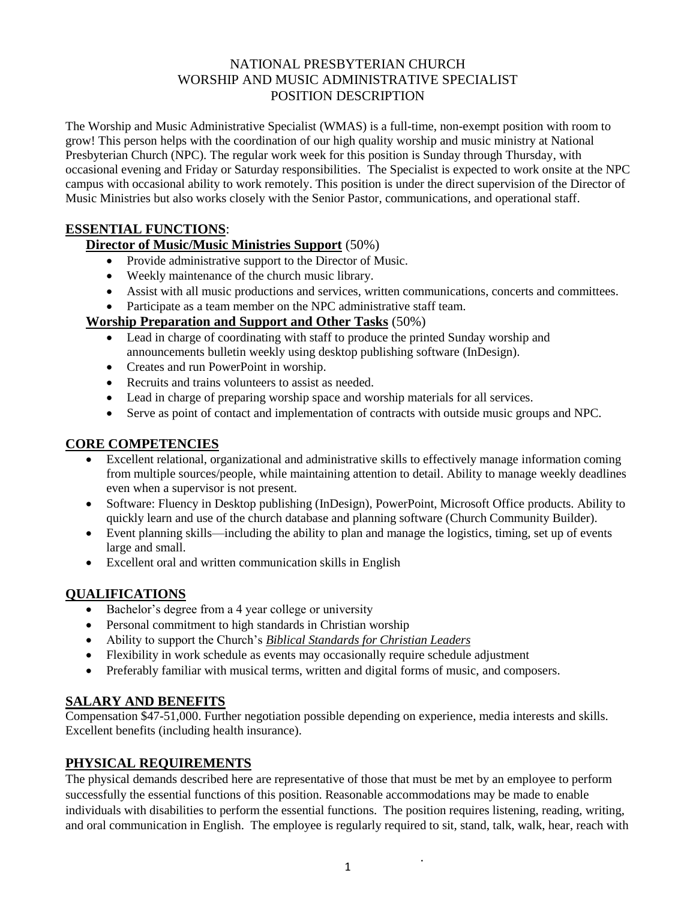#### NATIONAL PRESBYTERIAN CHURCH WORSHIP AND MUSIC ADMINISTRATIVE SPECIALIST POSITION DESCRIPTION

The Worship and Music Administrative Specialist (WMAS) is a full-time, non-exempt position with room to grow! This person helps with the coordination of our high quality worship and music ministry at National Presbyterian Church (NPC). The regular work week for this position is Sunday through Thursday, with occasional evening and Friday or Saturday responsibilities. The Specialist is expected to work onsite at the NPC campus with occasional ability to work remotely. This position is under the direct supervision of the Director of Music Ministries but also works closely with the Senior Pastor, communications, and operational staff.

### **ESSENTIAL FUNCTIONS**:

### **Director of Music/Music Ministries Support** (50%)

- Provide administrative support to the Director of Music.
- Weekly maintenance of the church music library.
- Assist with all music productions and services, written communications, concerts and committees.
- Participate as a team member on the NPC administrative staff team.

### **Worship Preparation and Support and Other Tasks** (50%)

- Lead in charge of coordinating with staff to produce the printed Sunday worship and announcements bulletin weekly using desktop publishing software (InDesign).
- Creates and run PowerPoint in worship.
- Recruits and trains volunteers to assist as needed.
- Lead in charge of preparing worship space and worship materials for all services.
- Serve as point of contact and implementation of contracts with outside music groups and NPC.

### **CORE COMPETENCIES**

- Excellent relational, organizational and administrative skills to effectively manage information coming from multiple sources/people, while maintaining attention to detail. Ability to manage weekly deadlines even when a supervisor is not present.
- Software: Fluency in Desktop publishing (InDesign), PowerPoint, Microsoft Office products. Ability to quickly learn and use of the church database and planning software (Church Community Builder).
- Event planning skills—including the ability to plan and manage the logistics, timing, set up of events large and small.
- Excellent oral and written communication skills in English

# **QUALIFICATIONS**

- Bachelor's degree from a 4 year college or university
- Personal commitment to high standards in Christian worship
- Ability to support the Church's *Biblical Standards for Christian Leaders*
- Flexibility in work schedule as events may occasionally require schedule adjustment
- Preferably familiar with musical terms, written and digital forms of music, and composers.

# **SALARY AND BENEFITS**

Compensation \$47-51,000. Further negotiation possible depending on experience, media interests and skills. Excellent benefits (including health insurance).

# **PHYSICAL REQUIREMENTS**

The physical demands described here are representative of those that must be met by an employee to perform successfully the essential functions of this position. Reasonable accommodations may be made to enable individuals with disabilities to perform the essential functions. The position requires listening, reading, writing, and oral communication in English. The employee is regularly required to sit, stand, talk, walk, hear, reach with

 $\ddot{\phantom{a}}$